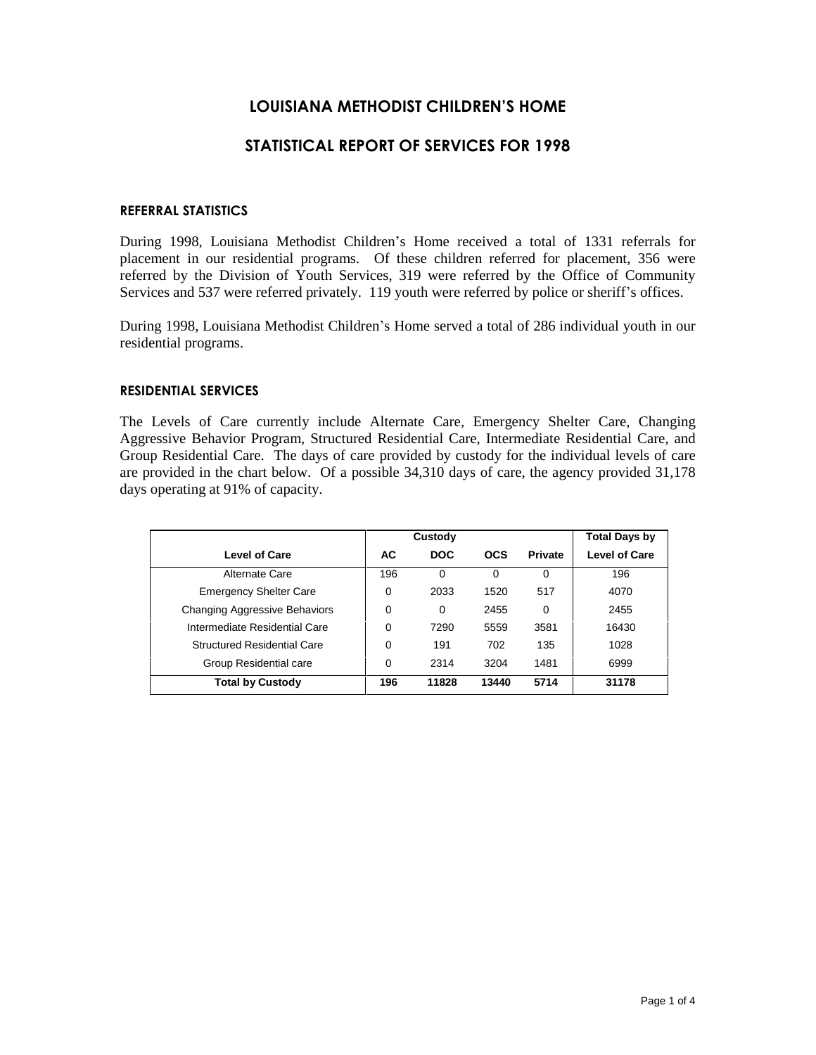# **LOUISIANA METHODIST CHILDRENíS HOME**

# **STATISTICAL REPORT OF SERVICES FOR 1998**

### **REFERRAL STATISTICS**

During 1998, Louisiana Methodist Children's Home received a total of 1331 referrals for placement in our residential programs. Of these children referred for placement, 356 were referred by the Division of Youth Services, 319 were referred by the Office of Community Services and 537 were referred privately. 119 youth were referred by police or sheriff's offices.

During 1998, Louisiana Methodist Children's Home served a total of 286 individual youth in our residential programs.

# **RESIDENTIAL SERVICES**

The Levels of Care currently include Alternate Care, Emergency Shelter Care, Changing Aggressive Behavior Program, Structured Residential Care, Intermediate Residential Care, and Group Residential Care. The days of care provided by custody for the individual levels of care are provided in the chart below. Of a possible 34,310 days of care, the agency provided 31,178 days operating at 91% of capacity.

|                                    |     | Custody    |            |                | <b>Total Days by</b> |
|------------------------------------|-----|------------|------------|----------------|----------------------|
| <b>Level of Care</b>               | AC  | <b>DOC</b> | <b>OCS</b> | <b>Private</b> | <b>Level of Care</b> |
| Alternate Care                     | 196 | 0          |            | 0              | 196                  |
| <b>Emergency Shelter Care</b>      | 0   | 2033       | 1520       | 517            | 4070                 |
| Changing Aggressive Behaviors      | 0   | $\Omega$   | 2455       | $\Omega$       | 2455                 |
| Intermediate Residential Care      | 0   | 7290       | 5559       | 3581           | 16430                |
| <b>Structured Residential Care</b> | 0   | 191        | 702        | 135            | 1028                 |
| Group Residential care             | 0   | 2314       | 3204       | 1481           | 6999                 |
| <b>Total by Custody</b>            | 196 | 11828      | 13440      | 5714           | 31178                |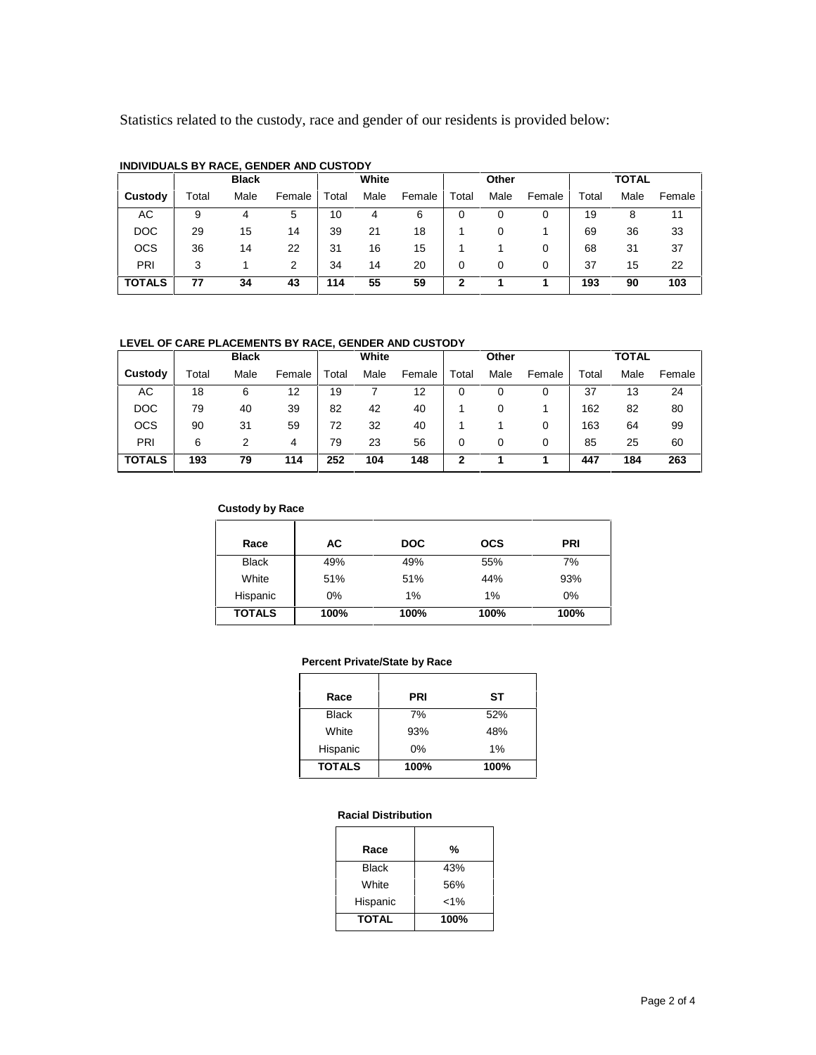Statistics related to the custody, race and gender of our residents is provided below:

|               | <b>Black</b> |      | White  |       | Other |        |       | <b>TOTAL</b> |        |       |      |        |
|---------------|--------------|------|--------|-------|-------|--------|-------|--------------|--------|-------|------|--------|
| Custody       | Total        | Male | Female | Total | Male  | Female | Total | Male         | Female | Total | Male | Female |
| АC            | 9            |      | 5      | 10    |       | 6      | O     |              |        | 19    | 8    | 11     |
| <b>DOC</b>    | 29           | 15   | 14     | 39    | 21    | 18     |       | 0            |        | 69    | 36   | 33     |
| <b>OCS</b>    | 36           | 14   | 22     | 31    | 16    | 15     |       |              |        | 68    | 31   | 37     |
| PRI           | 3            |      | 2      | 34    | 14    | 20     | 0     | 0            | 0      | 37    | 15   | 22     |
| <b>TOTALS</b> | 77           | 34   | 43     | 114   | 55    | 59     | ◠     |              |        | 193   | 90   | 103    |

### **INDIVIDUALS BY RACE, GENDER AND CUSTODY**

#### **LEVEL OF CARE PLACEMENTS BY RACE, GENDER AND CUSTODY**

|               | White<br><b>Black</b> |      |        | Other |      |        | <b>TOTAL</b> |      |        |       |      |        |
|---------------|-----------------------|------|--------|-------|------|--------|--------------|------|--------|-------|------|--------|
| Custody       | Total                 | Male | Female | Total | Male | Female | Total        | Male | Female | Total | Male | Female |
| АC            | 18                    | 6    | 12     | 19    |      | 12     |              |      |        | 37    | 13   | 24     |
| <b>DOC</b>    | 79                    | 40   | 39     | 82    | 42   | 40     |              |      |        | 162   | 82   | 80     |
| <b>OCS</b>    | 90                    | 31   | 59     | 72    | 32   | 40     |              |      | 0      | 163   | 64   | 99     |
| PRI           | 6                     |      | 4      | 79    | 23   | 56     | 0            | 0    | 0      | 85    | 25   | 60     |
| <b>TOTALS</b> | 193                   | 79   | 114    | 252   | 104  | 148    |              |      |        | 447   | 184  | 263    |

#### **Custody by Race**

| Race          | АC   | <b>DOC</b> | <b>OCS</b> | <b>PRI</b> |
|---------------|------|------------|------------|------------|
| <b>Black</b>  | 49%  | 49%        | 55%        | 7%         |
| White         | 51%  | 51%        | 44%        | 93%        |
| Hispanic      | 0%   | 1%         | 1%         | 0%         |
| <b>TOTALS</b> | 100% | 100%       | 100%       | 100%       |

#### **Percent Private/State by Race**

| Race          | <b>PRI</b> | SТ   |  |
|---------------|------------|------|--|
| <b>Black</b>  | 7%         | 52%  |  |
| White         | 93%        | 48%  |  |
| Hispanic      | $0\%$      | 1%   |  |
| <b>TOTALS</b> | 100%       | 100% |  |

#### **Racial Distribution**

| Race         | %     |
|--------------|-------|
| <b>Black</b> | 43%   |
| White        | 56%   |
| Hispanic     | $1\%$ |
| <b>TOTAL</b> | 100%  |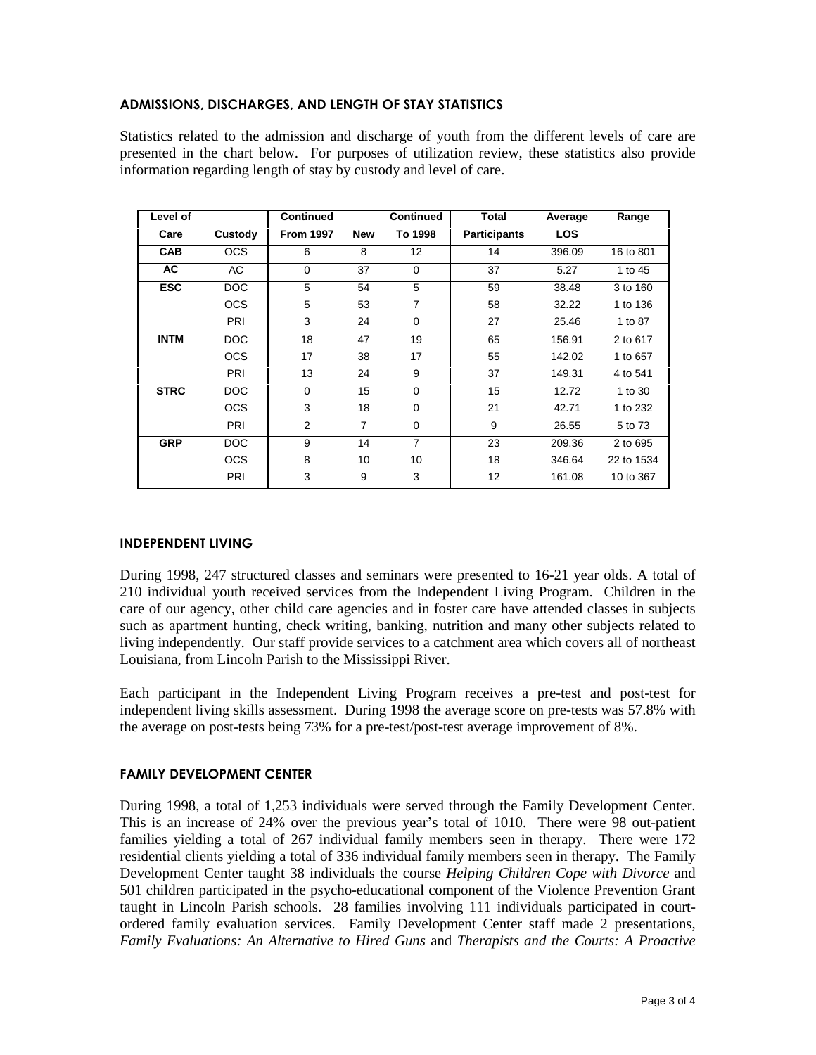# **ADMISSIONS, DISCHARGES, AND LENGTH OF STAY STATISTICS**

Statistics related to the admission and discharge of youth from the different levels of care are presented in the chart below. For purposes of utilization review, these statistics also provide information regarding length of stay by custody and level of care.

| Level of    |            | <b>Continued</b> |            | <b>Continued</b> | Total               | Average    | Range      |
|-------------|------------|------------------|------------|------------------|---------------------|------------|------------|
| Care        | Custody    | <b>From 1997</b> | <b>New</b> | To 1998          | <b>Participants</b> | <b>LOS</b> |            |
| <b>CAB</b>  | <b>OCS</b> | 6                | 8          | 12               | 14                  | 396.09     | 16 to 801  |
| AC          | AC         | 0                | 37         | $\Omega$         | 37                  | 5.27       | 1 to 45    |
| <b>ESC</b>  | DOC        | 5                | 54         | 5                | 59                  | 38.48      | 3 to 160   |
|             | <b>OCS</b> | 5                | 53         | 7                | 58                  | 32.22      | 1 to 136   |
|             | PRI        | 3                | 24         | $\Omega$         | 27                  | 25.46      | 1 to 87    |
| <b>INTM</b> | DOC        | 18               | 47         | 19               | 65                  | 156.91     | 2 to 617   |
|             | <b>OCS</b> | 17               | 38         | 17               | 55                  | 142.02     | 1 to 657   |
|             | PRI        | 13               | 24         | 9                | 37                  | 149.31     | 4 to 541   |
| <b>STRC</b> | DOC        | $\mathbf 0$      | 15         | $\Omega$         | 15                  | 12.72      | 1 to 30    |
|             | <b>OCS</b> | 3                | 18         | $\Omega$         | 21                  | 42.71      | 1 to 232   |
|             | PRI        | $\overline{2}$   | 7          | 0                | 9                   | 26.55      | 5 to 73    |
| <b>GRP</b>  | <b>DOC</b> | 9                | 14         | $\overline{7}$   | 23                  | 209.36     | 2 to 695   |
|             | <b>OCS</b> | 8                | 10         | 10               | 18                  | 346.64     | 22 to 1534 |
|             | PRI        | 3                | 9          | 3                | 12                  | 161.08     | 10 to 367  |

# **INDEPENDENT LIVING**

During 1998, 247 structured classes and seminars were presented to 16-21 year olds. A total of 210 individual youth received services from the Independent Living Program. Children in the care of our agency, other child care agencies and in foster care have attended classes in subjects such as apartment hunting, check writing, banking, nutrition and many other subjects related to living independently. Our staff provide services to a catchment area which covers all of northeast Louisiana, from Lincoln Parish to the Mississippi River.

Each participant in the Independent Living Program receives a pre-test and post-test for independent living skills assessment. During 1998 the average score on pre-tests was 57.8% with the average on post-tests being 73% for a pre-test/post-test average improvement of 8%.

# **FAMILY DEVELOPMENT CENTER**

During 1998, a total of 1,253 individuals were served through the Family Development Center. This is an increase of 24% over the previous year's total of 1010. There were 98 out-patient families yielding a total of 267 individual family members seen in therapy. There were 172 residential clients yielding a total of 336 individual family members seen in therapy. The Family Development Center taught 38 individuals the course *Helping Children Cope with Divorce* and 501 children participated in the psycho-educational component of the Violence Prevention Grant taught in Lincoln Parish schools. 28 families involving 111 individuals participated in court ordered family evaluation services. Family Development Center staff made 2 presentations, *Family Evaluations: An Alternative to Hired Guns* and *Therapists and the Courts: A Proactive*